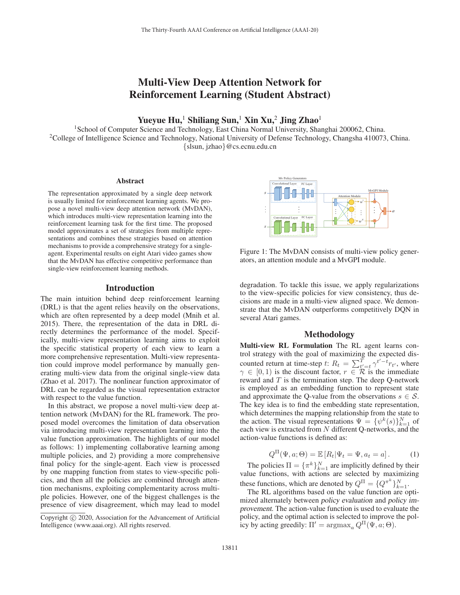# Multi-View Deep Attention Network for Reinforcement Learning (Student Abstract)

Yueyue Hu,<sup>1</sup> Shiliang Sun,<sup>1</sup> Xin Xu,<sup>2</sup> Jing Zhao<sup>1</sup>

<sup>1</sup>School of Computer Science and Technology, East China Normal University, Shanghai 200062, China. <sup>2</sup>College of Intelligence Science and Technology, National University of Defense Technology, Changsha 410073, China. {slsun, jzhao}@cs.ecnu.edu.cn

#### Abstract

The representation approximated by a single deep network is usually limited for reinforcement learning agents. We propose a novel multi-view deep attention network (MvDAN), which introduces multi-view representation learning into the reinforcement learning task for the first time. The proposed model approximates a set of strategies from multiple representations and combines these strategies based on attention mechanisms to provide a comprehensive strategy for a singleagent. Experimental results on eight Atari video games show that the MvDAN has effective competitive performance than single-view reinforcement learning methods.

#### Introduction

The main intuition behind deep reinforcement learning (DRL) is that the agent relies heavily on the observations, which are often represented by a deep model (Mnih et al. 2015). There, the representation of the data in DRL directly determines the performance of the model. Specifically, multi-view representation learning aims to exploit the specific statistical property of each view to learn a more comprehensive representation. Multi-view representation could improve model performance by manually generating multi-view data from the original single-view data (Zhao et al. 2017). The nonlinear function approximator of DRL can be regarded as the visual representation extractor with respect to the value function.

In this abstract, we propose a novel multi-view deep attention network (MvDAN) for the RL framework. The proposed model overcomes the limitation of data observation via introducing multi-view representation learning into the value function approximation. The highlights of our model as follows: 1) implementing collaborative learning among multiple policies, and 2) providing a more comprehensive final policy for the single-agent. Each view is processed by one mapping function from states to view-specific policies, and then all the policies are combined through attention mechanisms, exploiting complementarity across multiple policies. However, one of the biggest challenges is the presence of view disagreement, which may lead to model



Figure 1: The MvDAN consists of multi-view policy generators, an attention module and a MvGPI module.

degradation. To tackle this issue, we apply regularizations to the view-specific policies for view consistency, thus decisions are made in a multi-view aligned space. We demonstrate that the MvDAN outperforms competitively DQN in several Atari games.

# Methodology

Multi-view RL Formulation The RL agent learns control strategy with the goal of maximizing the expected discounted return at time-step t:  $R_t = \sum_{t'=t}^T \gamma^{t'-t} r_{t'}$ , where  $\gamma \in [0, 1)$  is the discount factor  $r \in \mathcal{R}$  is the immediate  $\gamma \in [0, 1)$  is the discount factor,  $r \in \mathcal{R}$  is the immediate reward and T is the termination step. The deep O-network reward and  $T$  is the termination step. The deep Q-network is employed as an embedding function to represent state and approximate the Q-value from the observations  $s \in \mathcal{S}$ . The key idea is to find the embedding state representation, which determines the mapping relationship from the state to the action. The visual representations  $\Psi = {\psi^k(s)}_{k=1}^N$  of each view is extracted from N different O-networks and the each view is extracted from N different Q-networks, and the action-value functions is defined as:

$$
Q^{\Pi}(\Psi, a; \Theta) = \mathbb{E}\left[R_t | \Psi_t = \Psi, a_t = a\right].
$$
 (1)

The policies  $\Pi = {\pi^k}_{k=1}^N$  are implicitly defined by their<br>lue functions with actions are selected by maximizing value functions, with actions are selected by maximizing these functions, which are denoted by  $Q^{\Pi} = \{Q^{\pi^k}\}_{k=1}^N$ .<br>The RL algorithms based on the value function are on

The RL algorithms based on the value function are optimized alternately between *policy evaluation* and *policy improvement*. The action-value function is used to evaluate the policy, and the optimal action is selected to improve the policy by acting greedily:  $\Pi' = \arg \max_a Q^{\Pi}(\Psi, a; \Theta)$ .

Copyright  $\odot$  2020, Association for the Advancement of Artificial Intelligence (www.aaai.org). All rights reserved.